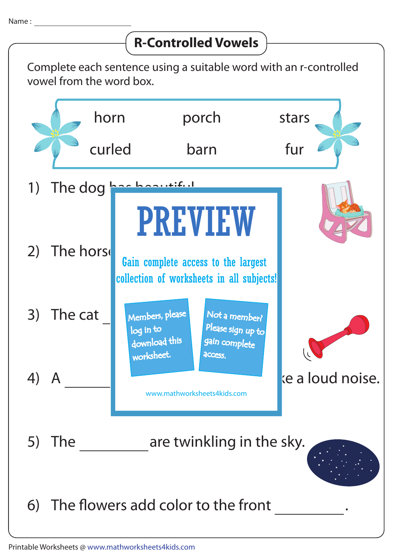## **R-Controlled Vowels**

Complete each sentence using a suitable word with an r-controlled vowel from the word box.